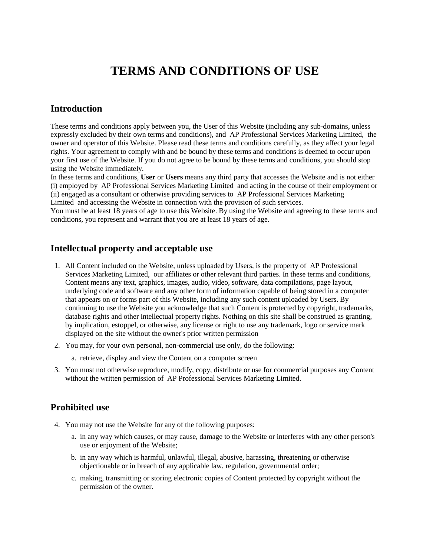# **TERMS AND CONDITIONS OF USE**

### **Introduction**

These terms and conditions apply between you, the User of this Website (including any sub-domains, unless expressly excluded by their own terms and conditions), and AP Professional Services Marketing Limited, the owner and operator of this Website. Please read these terms and conditions carefully, as they affect your legal rights. Your agreement to comply with and be bound by these terms and conditions is deemed to occur upon your first use of the Website. If you do not agree to be bound by these terms and conditions, you should stop using the Website immediately.

In these terms and conditions, **User** or **Users** means any third party that accesses the Website and is not either (i) employed by AP Professional Services Marketing Limited and acting in the course of their employment or (ii) engaged as a consultant or otherwise providing services to AP Professional Services Marketing Limited and accessing the Website in connection with the provision of such services.

You must be at least 18 years of age to use this Website. By using the Website and agreeing to these terms and conditions, you represent and warrant that you are at least 18 years of age.

#### **Intellectual property and acceptable use**

- 1. All Content included on the Website, unless uploaded by Users, is the property of AP Professional Services Marketing Limited, our affiliates or other relevant third parties. In these terms and conditions, Content means any text, graphics, images, audio, video, software, data compilations, page layout, underlying code and software and any other form of information capable of being stored in a computer that appears on or forms part of this Website, including any such content uploaded by Users. By continuing to use the Website you acknowledge that such Content is protected by copyright, trademarks, database rights and other intellectual property rights. Nothing on this site shall be construed as granting, by implication, estoppel, or otherwise, any license or right to use any trademark, logo or service mark displayed on the site without the owner's prior written permission
- 2. You may, for your own personal, non-commercial use only, do the following:
	- a. retrieve, display and view the Content on a computer screen
- 3. You must not otherwise reproduce, modify, copy, distribute or use for commercial purposes any Content without the written permission of AP Professional Services Marketing Limited.

#### **Prohibited use**

- 4. You may not use the Website for any of the following purposes:
	- a. in any way which causes, or may cause, damage to the Website or interferes with any other person's use or enjoyment of the Website;
	- b. in any way which is harmful, unlawful, illegal, abusive, harassing, threatening or otherwise objectionable or in breach of any applicable law, regulation, governmental order;
	- c. making, transmitting or storing electronic copies of Content protected by copyright without the permission of the owner.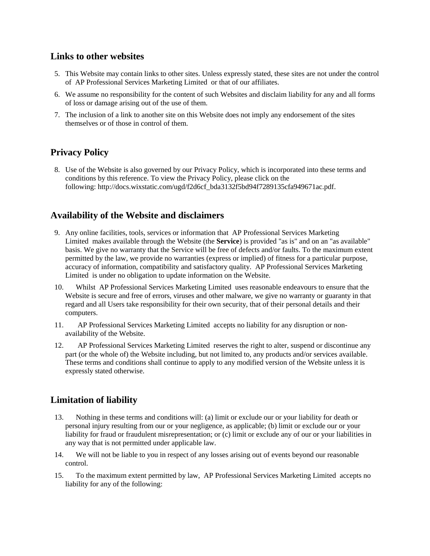### **Links to other websites**

- 5. This Website may contain links to other sites. Unless expressly stated, these sites are not under the control of AP Professional Services Marketing Limited or that of our affiliates.
- 6. We assume no responsibility for the content of such Websites and disclaim liability for any and all forms of loss or damage arising out of the use of them.
- 7. The inclusion of a link to another site on this Website does not imply any endorsement of the sites themselves or of those in control of them.

# **Privacy Policy**

8. Use of the Website is also governed by our Privacy Policy, which is incorporated into these terms and conditions by this reference. To view the Privacy Policy, please click on the following: http://docs.wixstatic.com/ugd/f2d6cf\_bda3132f5bd94f7289135cfa949671ac.pdf.

## **Availability of the Website and disclaimers**

- 9. Any online facilities, tools, services or information that AP Professional Services Marketing Limited makes available through the Website (the **Service**) is provided "as is" and on an "as available" basis. We give no warranty that the Service will be free of defects and/or faults. To the maximum extent permitted by the law, we provide no warranties (express or implied) of fitness for a particular purpose, accuracy of information, compatibility and satisfactory quality. AP Professional Services Marketing Limited is under no obligation to update information on the Website.
- 10. Whilst AP Professional Services Marketing Limited uses reasonable endeavours to ensure that the Website is secure and free of errors, viruses and other malware, we give no warranty or guaranty in that regard and all Users take responsibility for their own security, that of their personal details and their computers.
- 11. AP Professional Services Marketing Limited accepts no liability for any disruption or nonavailability of the Website.
- 12. AP Professional Services Marketing Limited reserves the right to alter, suspend or discontinue any part (or the whole of) the Website including, but not limited to, any products and/or services available. These terms and conditions shall continue to apply to any modified version of the Website unless it is expressly stated otherwise.

# **Limitation of liability**

- 13. Nothing in these terms and conditions will: (a) limit or exclude our or your liability for death or personal injury resulting from our or your negligence, as applicable; (b) limit or exclude our or your liability for fraud or fraudulent misrepresentation; or (c) limit or exclude any of our or your liabilities in any way that is not permitted under applicable law.
- 14. We will not be liable to you in respect of any losses arising out of events beyond our reasonable control.
- 15. To the maximum extent permitted by law, AP Professional Services Marketing Limited accepts no liability for any of the following: